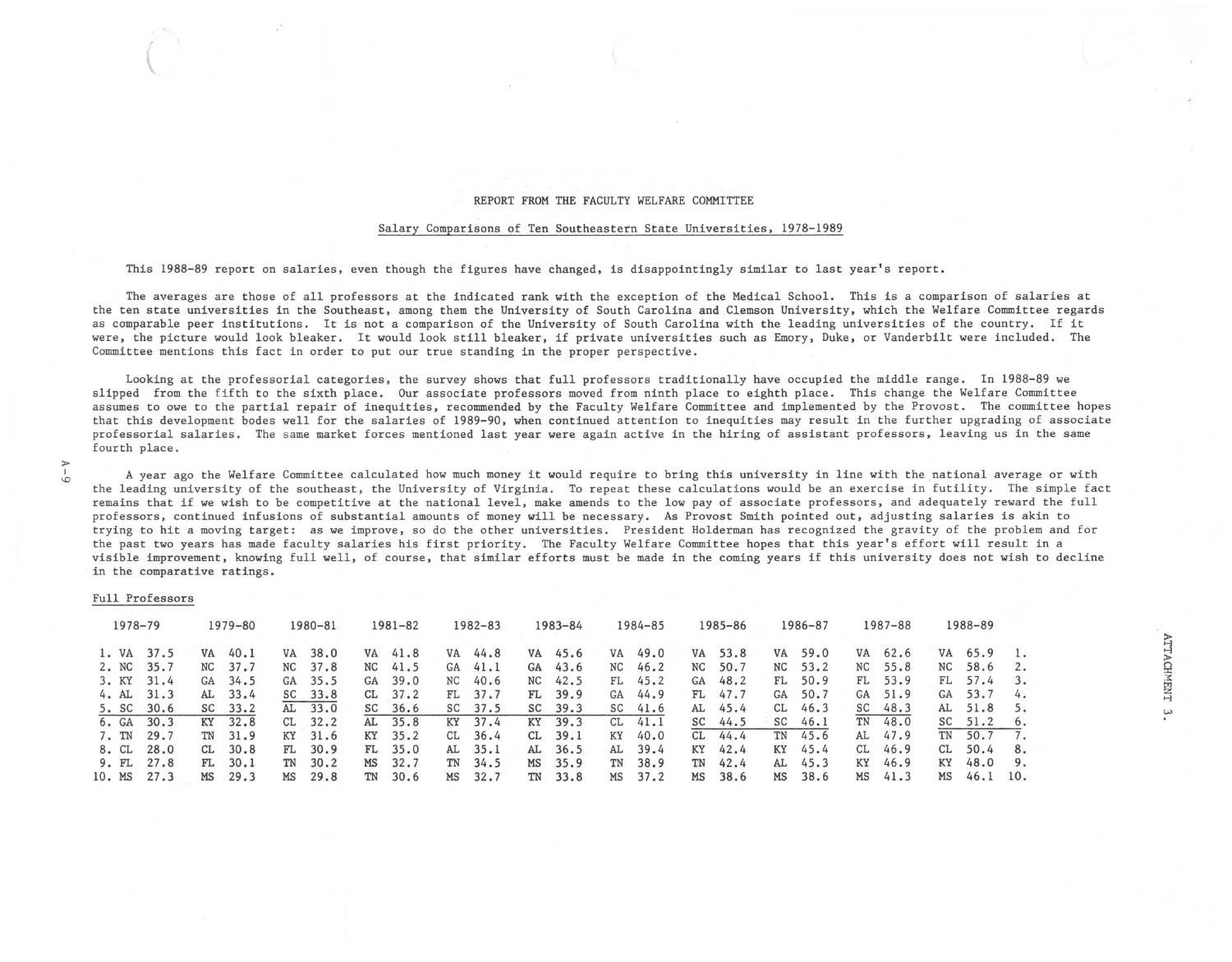## REPORT FROM THE FACULTY WELFARE COMMITTEE

## Salary Comparisons of Ten Southeastern State Universities, 1978-1989

This 1988-89 report on salaries, even though the figures have changed, is disappointingly similar to last year's report.

The averages are those of all professors at the indicated rank with the exception of the Medical School. This is a comparison of salaries at the ten state universities in the Southeast, among them the University of South Carolina and Clemson University, which the Welfare Committee regards as comparable peer institutions. It is not a comparison of the University of South Carolina with the leading universities of the country. If it were, the picture would look bleaker. It would look still bleaker, if private universities such as Emory, Duke, or Vanderbilt were included. The Committee mentions this fact in order to put our true standing in the proper perspective.

Looking at the professorial categories, the survey shows that full professors traditionally have occupied the middle range. In 1988-89 we slipped from the fifth to the sixth place. Our associate professors moved from ninth place to eighth place. This change the Welfare Committee assumes to owe to the partial repair of inequities, recommended by the Faculty Welfare Committee and implemented by the Provost. The committee hopes that this development bodes well for the salaries of 1989-90, when continued attention to inequities may result in the further upgrading of associate professorial salaries. The same market forces mentioned last year were again active in the hiring of assistant professors, leaving us in the same fourth place.

A year ago the Welfare Committee calculated how much money it would require to bring this university in line with the national average or with the leading university of the southeast, the University of Virginia. To repeat these calculations would be an exercise in futility. The simple fact remains that if we wish to be competitive at the national level, make amends to the low pay of associate professors, and adequately reward the full professors, continued infusions of substantial amounts of money will be necessary. As Provost Smith pointed out, adjusting salaries is akin to trying to hit a moving target: as we improve, so do the other universities. President Holderman has recognized the gravity of the problem and for the past two years has made faculty salaries his first priority. The Faculty Welfare Committee hopes that this year's effort will result in a visible improvement, knowing full well, of course, that similar efforts must be made in the coming years if this university does not wish to decline in the comparative ratings.

## Full Professors

 $\overline{\mathcal{C}}$ 

> I *-D* 

| $1978 - 79$          |              | 1979-80         |              | 1980-81   |              | $1981 - 82$ |              |          | $1982 - 83$  |           | 1983-84      |                 | 1984-85      |          | 1985-86      |          | 1986-87      |          | 1987-88      |           | 1988-89      |          |
|----------------------|--------------|-----------------|--------------|-----------|--------------|-------------|--------------|----------|--------------|-----------|--------------|-----------------|--------------|----------|--------------|----------|--------------|----------|--------------|-----------|--------------|----------|
| 1. VA 37.5<br>2. NC  | 35.7         | VA<br>NC        | 40.1<br>37.7 | VA<br>NC  | 38.0<br>37.8 | VA<br>NC    | 41.8<br>41.5 | VA<br>GA | 44.8<br>41.1 | VA<br>GA  | 45.6<br>43.6 | <b>VA</b><br>NC | 49.0<br>46.2 | VA<br>NC | 53.8<br>50.7 | VA<br>NC | 59.0<br>53.2 | VA<br>NC | 62.6<br>55.8 | VA.<br>NC | 65.9<br>58.6 | 2.       |
| 3. KY<br>$4.AL$ 31.3 | 31.4         | <b>GA</b><br>AL | 34.5<br>33.4 | GA<br>SC  | 35.5<br>33.8 | GA<br>CL.   | 39.0<br>37.2 | NC<br>FL | 40.6<br>37.7 | NC.<br>FL | 42.5<br>39.9 | FL<br>GA        | 45.2<br>44.9 | GA<br>FL | 48.2<br>47.7 | FL<br>GA | 50.9<br>50.7 | FL<br>GA | 53.9<br>51.9 | FL<br>GA  | 57.4<br>53.7 | 3.<br>4. |
| 5. SC<br>6. GA       | 30.6<br>30.3 | SC<br>KY        | 33.2<br>32.8 | AL<br>CL. | 33.0<br>32.2 | SC<br>AL    | 36.6<br>35.8 | SC<br>KY | 37.5<br>37.4 | SC<br>KY  | 39.3<br>39.3 | SC<br>CL        | 41.6<br>41.1 | AL<br>SC | 45.4<br>44.5 | CL<br>SC | 46.3<br>46.1 | SC<br>TN | 48.3<br>48.0 | AL<br>SC  | 51.8<br>51.2 | 5.<br>6. |
| 7. TN                | 29.7         | TN              | 31.9         | KY        | 31.6         | KY          | 35.2         | CL       | 36.4         | CL        | 39.1         | KY              | 40.0         | CL       | 44.4         | TN       | 45.6         | AL       | 47.9         | TN        | 50.7         |          |
| 8. CL<br>9. FL 27.8  | 28.0         | CL<br>FL.       | 30.8<br>30.1 | FL<br>TN  | 30.9<br>30.2 | FL<br>MS    | 35.0<br>32.7 | AL<br>TN | 35.1<br>34.5 | AL<br>MS  | 36.5<br>35.9 | AL<br>TN        | 39.4<br>38.9 | KY<br>TN | 42.4<br>42.4 | KY<br>AL | 45.4<br>45.3 | CL<br>KY | 46.9<br>46.9 | CL<br>KY  | 50.4<br>48.0 | 8.<br>9. |
| 10. MS               | 27.3         | MS              | 29.3         | MS        | 29.8         | TN          | 30.6         | MS       | 32.7         | TN        | 33.8         | MS              | 37.2         | MS       | 38.6         | МS       | 38.6         | MS       | 41.3         | MS        | 46.1         | 10.      |